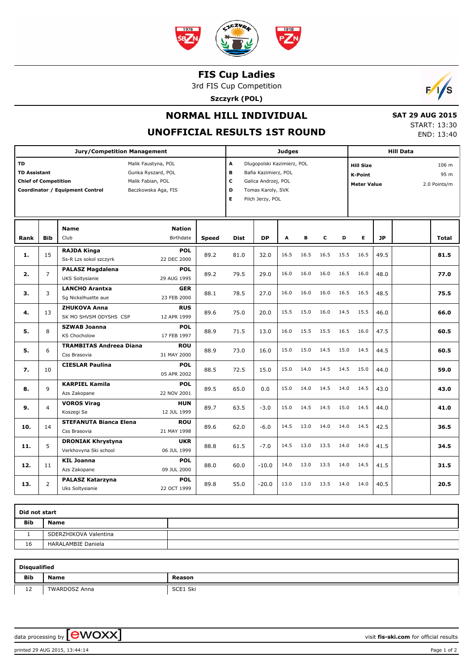

## **FIS Cup Ladies**

3rd FIS Cup Competition

**Szczyrk (POL)**



## **NORMAL HILL INDIVIDUAL**

**UNOFFICIAL RESULTS 1ST ROUND**

 **SAT 29 AUG 2015** START: 13:30 END: 13:40

| <b>Jury/Competition Management</b>                                                                                                                                                          |                |                                                   |                            |              |                                                                                                                                              | <b>Judges</b> |      |      |      |      |                                                          | <b>Hill Data</b> |  |                               |  |
|---------------------------------------------------------------------------------------------------------------------------------------------------------------------------------------------|----------------|---------------------------------------------------|----------------------------|--------------|----------------------------------------------------------------------------------------------------------------------------------------------|---------------|------|------|------|------|----------------------------------------------------------|------------------|--|-------------------------------|--|
| <b>TD</b><br>Malik Faustyna, POL<br><b>TD Assistant</b><br>Gunka Ryszard, POL<br><b>Chief of Competition</b><br>Malik Fabian, POL<br>Coordinator / Equipment Control<br>Baczkowska Aga, FIS |                |                                                   |                            |              | A<br>Dlugopolski Kazimierz, POL<br>в<br>Bafia Kazimierz, POL<br>С<br>Galica Andrzej, POL<br>D<br>Tomas Karoly, SVK<br>E.<br>Pilch Jerzy, POL |               |      |      |      |      | <b>Hill Size</b><br><b>K-Point</b><br><b>Meter Value</b> |                  |  | 106 m<br>95 m<br>2.0 Points/m |  |
| Rank                                                                                                                                                                                        | <b>Bib</b>     | <b>Name</b><br>Club                               | <b>Nation</b><br>Birthdate | <b>Speed</b> | <b>Dist</b>                                                                                                                                  | <b>DP</b>     | A    | B    | c    | D    | E                                                        | <b>JP</b>        |  | <b>Total</b>                  |  |
| 1.                                                                                                                                                                                          | 15             | <b>RAJDA Kinga</b><br>Ss-R Lzs sokol szczyrk      | <b>POL</b><br>22 DEC 2000  | 89.2         | 81.0                                                                                                                                         | 32.0          | 16.5 | 16.5 | 16.5 | 15.5 | 16.5                                                     | 49.5             |  | 81.5                          |  |
| 2.                                                                                                                                                                                          | 7              | <b>PALASZ Magdalena</b><br>UKS Soltysianie        | <b>POL</b><br>29 AUG 1995  | 89.2         | 79.5                                                                                                                                         | 29.0          | 16.0 | 16.0 | 16.0 | 16.5 | 16.0                                                     | 48.0             |  | 77.0                          |  |
| 3.                                                                                                                                                                                          | 3              | <b>LANCHO Arantxa</b><br>Sg Nickelhuette aue      | <b>GER</b><br>23 FEB 2000  | 88.1         | 78.5                                                                                                                                         | 27.0          | 16.0 | 16.0 | 16.0 | 16.5 | 16.5                                                     | 48.5             |  | 75.5                          |  |
| 4.                                                                                                                                                                                          | 13             | <b>ZHUKOVA Anna</b><br>SK MO SHVSM ODYSHS CSP     | <b>RUS</b><br>12 APR 1999  | 89.6         | 75.0                                                                                                                                         | 20.0          | 15.5 | 15.0 | 16.0 | 14.5 | 15.5                                                     | 46.0             |  | 66.0                          |  |
| 5.                                                                                                                                                                                          | 8              | <b>SZWAB Joanna</b><br><b>KS Chocholow</b>        | <b>POL</b><br>17 FEB 1997  | 88.9         | 71.5                                                                                                                                         | 13.0          | 16.0 | 15.5 | 15.5 | 16.5 | 16.0                                                     | 47.5             |  | 60.5                          |  |
| 5.                                                                                                                                                                                          | 6              | <b>TRAMBITAS Andreea Diana</b><br>Css Brasovia    | <b>ROU</b><br>31 MAY 2000  | 88.9         | 73.0                                                                                                                                         | 16.0          | 15.0 | 15.0 | 14.5 | 15.0 | 14.5                                                     | 44.5             |  | 60.5                          |  |
| 7.                                                                                                                                                                                          | 10             | <b>CIESLAR Paulina</b>                            | <b>POL</b><br>05 APR 2002  | 88.5         | 72.5                                                                                                                                         | 15.0          | 15.0 | 14.0 | 14.5 | 14.5 | 15.0                                                     | 44.0             |  | 59.0                          |  |
| 8.                                                                                                                                                                                          | 9              | <b>KARPIEL Kamila</b><br>Azs Zakopane             | <b>POL</b><br>22 NOV 2001  | 89.5         | 65.0                                                                                                                                         | 0.0           | 15.0 | 14.0 | 14.5 | 14.0 | 14.5                                                     | 43.0             |  | 43.0                          |  |
| 9.                                                                                                                                                                                          | $\overline{4}$ | <b>VOROS Virag</b><br>Koszegi Se                  | <b>HUN</b><br>12 JUL 1999  | 89.7         | 63.5                                                                                                                                         | $-3.0$        | 15.0 | 14.5 | 14.5 | 15.0 | 14.5                                                     | 44.0             |  | 41.0                          |  |
| 10.                                                                                                                                                                                         | 14             | <b>STEFANUTA Bianca Elena</b><br>Css Brasovia     | <b>ROU</b><br>21 MAY 1998  | 89.6         | 62.0                                                                                                                                         | $-6.0$        | 14.5 | 13.0 | 14.0 | 14.0 | 14.5                                                     | 42.5             |  | 36.5                          |  |
| 11.                                                                                                                                                                                         | 5              | <b>DRONIAK Khrystyna</b><br>Verkhovyna Ski school | <b>UKR</b><br>06 JUL 1999  | 88.8         | 61.5                                                                                                                                         | $-7.0$        | 14.5 | 13.0 | 13.5 | 14.0 | 14.0                                                     | 41.5             |  | 34.5                          |  |
| 12.                                                                                                                                                                                         | 11             | <b>KIL Joanna</b><br>Azs Zakopane                 | <b>POL</b><br>09 JUL 2000  | 88.0         | 60.0                                                                                                                                         | $-10.0$       | 14.0 | 13.0 | 13.5 | 14.0 | 14.5                                                     | 41.5             |  | 31.5                          |  |
| 13.                                                                                                                                                                                         | $\overline{2}$ | PALASZ Katarzyna<br>Uks Soltysianie               | <b>POL</b><br>22 OCT 1999  | 89.8         | 55.0                                                                                                                                         | $-20.0$       | 13.0 | 13.0 | 13.5 | 14.0 | 14.0                                                     | 40.5             |  | 20.5                          |  |

| Did not start |                           |  |  |  |  |  |  |  |
|---------------|---------------------------|--|--|--|--|--|--|--|
| <b>Bib</b>    | <b>Name</b>               |  |  |  |  |  |  |  |
|               | SDERZHIKOVA Valentina     |  |  |  |  |  |  |  |
| 16            | <b>HARALAMBIE Daniela</b> |  |  |  |  |  |  |  |

| <b>Disqualified</b> |                      |          |  |  |  |  |  |  |  |
|---------------------|----------------------|----------|--|--|--|--|--|--|--|
| <b>Bib</b>          | Name                 | Reason   |  |  |  |  |  |  |  |
| $1^{\circ}$<br>ᆠ    | <b>TWARDOSZ Anna</b> | SCE1 Ski |  |  |  |  |  |  |  |

data processing by **CWOXX**  $\blacksquare$